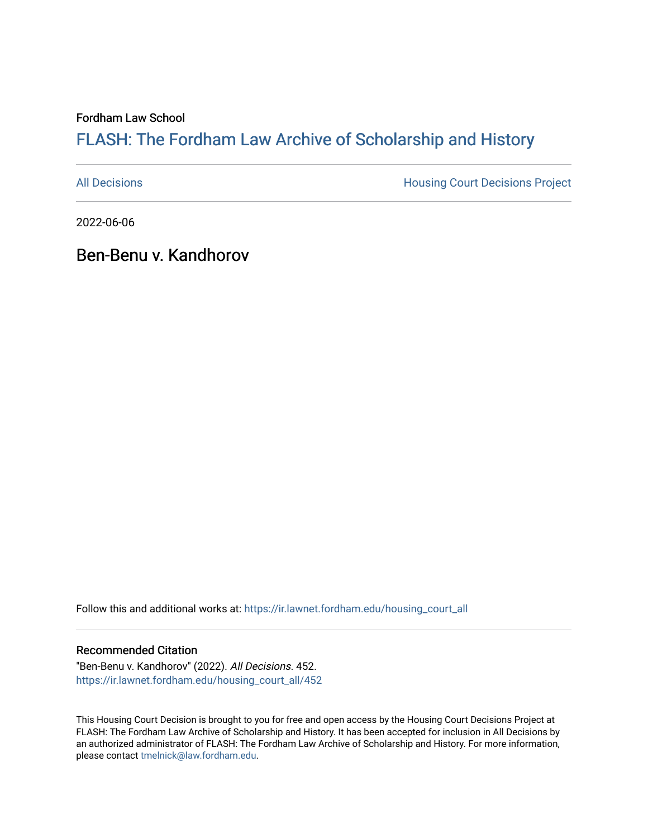Fordham Law School

# FLASH: The For[dham Law Archive of Scholarship and Hist](https://ir.lawnet.fordham.edu/)ory

[All Decisions](https://ir.lawnet.fordham.edu/housing_court_all) **All Decisions All Decisions** Project

2022-06-06

Ben-Benu v. Kandhorov

Follow this and additional works at: [https://ir.lawnet.fordham.edu/housing\\_court\\_all](https://ir.lawnet.fordham.edu/housing_court_all?utm_source=ir.lawnet.fordham.edu%2Fhousing_court_all%2F452&utm_medium=PDF&utm_campaign=PDFCoverPages)

#### Recommended Citation

"Ben-Benu v. Kandhorov" (2022). All Decisions. 452. [https://ir.lawnet.fordham.edu/housing\\_court\\_all/452](https://ir.lawnet.fordham.edu/housing_court_all/452?utm_source=ir.lawnet.fordham.edu%2Fhousing_court_all%2F452&utm_medium=PDF&utm_campaign=PDFCoverPages)

This Housing Court Decision is brought to you for free and open access by the Housing Court Decisions Project at FLASH: The Fordham Law Archive of Scholarship and History. It has been accepted for inclusion in All Decisions by an authorized administrator of FLASH: The Fordham Law Archive of Scholarship and History. For more information, please contact [tmelnick@law.fordham.edu](mailto:tmelnick@law.fordham.edu).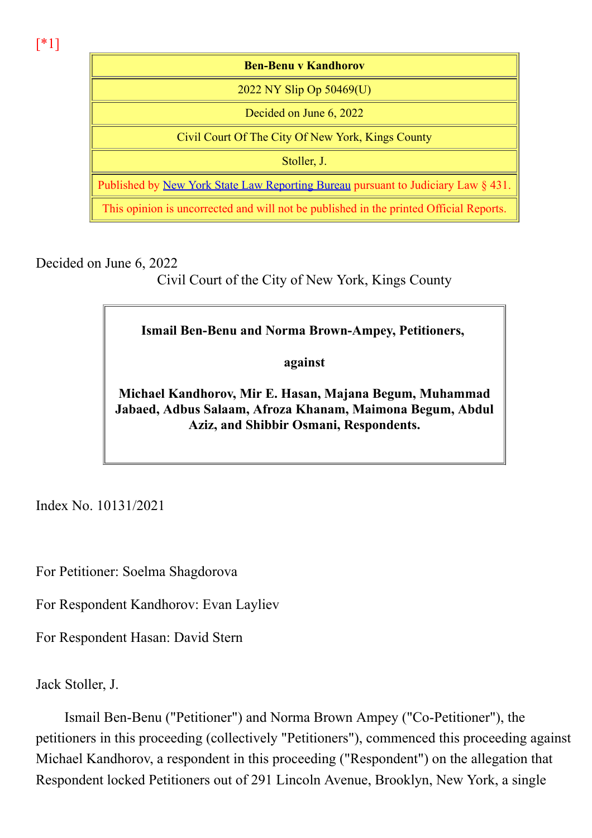[\*1]

Ben-Benu v Kandhorov 2022 NY Slip Op 50469(U) Decided on June 6, 2022 Civil Court Of The City Of New York, Kings County Stoller, J. Published by New York State Law Reporting Bureau pursuant to Judiciary Law § 431. This opinion is uncorrected and will not be published in the printed Official Reports.

Decided on June 6, 2022

Civil Court of the City of New York, Kings County

Ismail Ben-Benu and Norma Brown-Ampey, Petitioners,

against

Michael Kandhorov, Mir E. Hasan, Majana Begum, Muhammad Jabaed, Adbus Salaam, Afroza Khanam, Maimona Begum, Abdul Aziz, and Shibbir Osmani, Respondents.

Index No. 10131/2021

For Petitioner: Soelma Shagdorova

For Respondent Kandhorov: Evan Layliev

For Respondent Hasan: David Stern

Jack Stoller, J.

Ismail Ben-Benu ("Petitioner") and Norma Brown Ampey ("Co-Petitioner"), the petitioners in this proceeding (collectively "Petitioners"), commenced this proceeding against Michael Kandhorov, a respondent in this proceeding ("Respondent") on the allegation that Respondent locked Petitioners out of 291 Lincoln Avenue, Brooklyn, New York, a single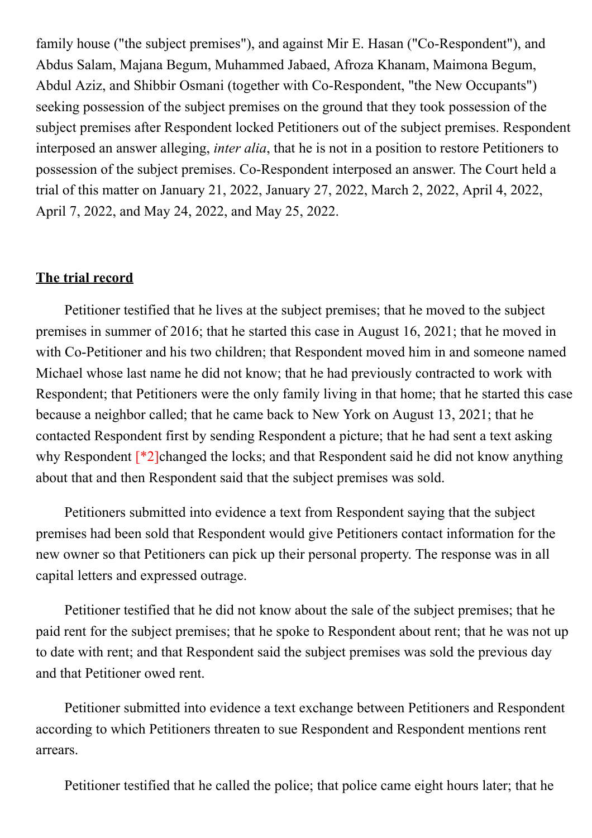family house ("the subject premises"), and against Mir E. Hasan ("Co-Respondent"), and Abdus Salam, Majana Begum, Muhammed Jabaed, Afroza Khanam, Maimona Begum, Abdul Aziz, and Shibbir Osmani (together with Co-Respondent, "the New Occupants") seeking possession of the subject premises on the ground that they took possession of the subject premises after Respondent locked Petitioners out of the subject premises. Respondent interposed an answer alleging, inter alia, that he is not in a position to restore Petitioners to possession of the subject premises. Co-Respondent interposed an answer. The Court held a trial of this matter on January 21, 2022, January 27, 2022, March 2, 2022, April 4, 2022, April 7, 2022, and May 24, 2022, and May 25, 2022.

### The trial record

Petitioner testified that he lives at the subject premises; that he moved to the subject premises in summer of 2016; that he started this case in August 16, 2021; that he moved in with Co-Petitioner and his two children; that Respondent moved him in and someone named Michael whose last name he did not know; that he had previously contracted to work with Respondent; that Petitioners were the only family living in that home; that he started this case because a neighbor called; that he came back to New York on August 13, 2021; that he contacted Respondent first by sending Respondent a picture; that he had sent a text asking why Respondent  $\lceil \frac{*}{2} \rceil$ changed the locks; and that Respondent said he did not know anything about that and then Respondent said that the subject premises was sold.

Petitioners submitted into evidence a text from Respondent saying that the subject premises had been sold that Respondent would give Petitioners contact information for the new owner so that Petitioners can pick up their personal property. The response was in all capital letters and expressed outrage.

Petitioner testified that he did not know about the sale of the subject premises; that he paid rent for the subject premises; that he spoke to Respondent about rent; that he was not up to date with rent; and that Respondent said the subject premises was sold the previous day and that Petitioner owed rent.

Petitioner submitted into evidence a text exchange between Petitioners and Respondent according to which Petitioners threaten to sue Respondent and Respondent mentions rent arrears.

Petitioner testified that he called the police; that police came eight hours later; that he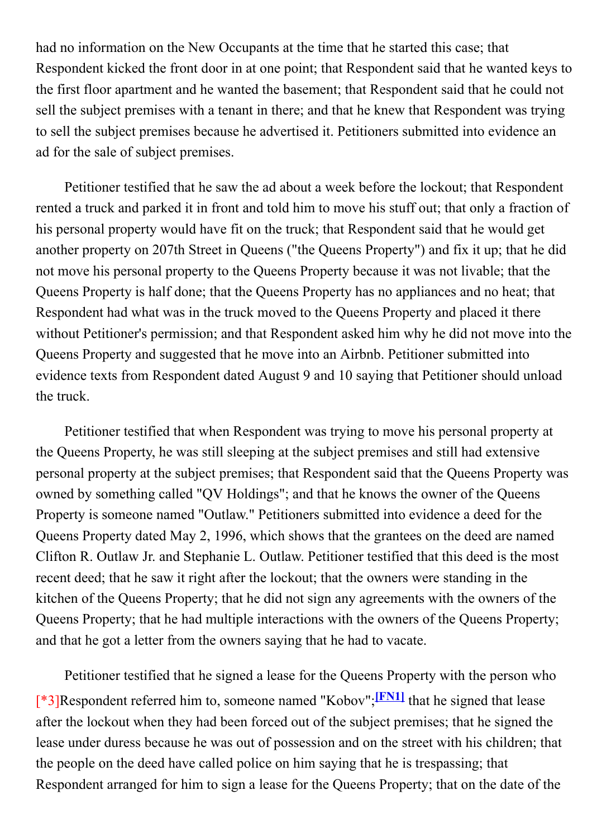had no information on the New Occupants at the time that he started this case; that Respondent kicked the front door in at one point; that Respondent said that he wanted keys to the first floor apartment and he wanted the basement; that Respondent said that he could not sell the subject premises with a tenant in there; and that he knew that Respondent was trying to sell the subject premises because he advertised it. Petitioners submitted into evidence an ad for the sale of subject premises.

Petitioner testified that he saw the ad about a week before the lockout; that Respondent rented a truck and parked it in front and told him to move his stuff out; that only a fraction of his personal property would have fit on the truck; that Respondent said that he would get another property on 207th Street in Queens ("the Queens Property") and fix it up; that he did not move his personal property to the Queens Property because it was not livable; that the Queens Property is half done; that the Queens Property has no appliances and no heat; that Respondent had what was in the truck moved to the Queens Property and placed it there without Petitioner's permission; and that Respondent asked him why he did not move into the Queens Property and suggested that he move into an Airbnb. Petitioner submitted into evidence texts from Respondent dated August 9 and 10 saying that Petitioner should unload the truck.

Petitioner testified that when Respondent was trying to move his personal property at the Queens Property, he was still sleeping at the subject premises and still had extensive personal property at the subject premises; that Respondent said that the Queens Property was owned by something called "QV Holdings"; and that he knows the owner of the Queens Property is someone named "Outlaw." Petitioners submitted into evidence a deed for the Queens Property dated May 2, 1996, which shows that the grantees on the deed are named Clifton R. Outlaw Jr. and Stephanie L. Outlaw. Petitioner testified that this deed is the most recent deed; that he saw it right after the lockout; that the owners were standing in the kitchen of the Queens Property; that he did not sign any agreements with the owners of the Queens Property; that he had multiple interactions with the owners of the Queens Property; and that he got a letter from the owners saying that he had to vacate.

Petitioner testified that he signed a lease for the Queens Property with the person who <sup>[\*</sup>3]Respondent referred him to, someone named "Kobov";<sup>[FN1]</sup> that he signed that lease after the lockout when they had been forced out of the subject premises; that he signed the lease under duress because he was out of possession and on the street with his children; that the people on the deed have called police on him saying that he is trespassing; that Respondent arranged for him to sign a lease for the Queens Property; that on the date of the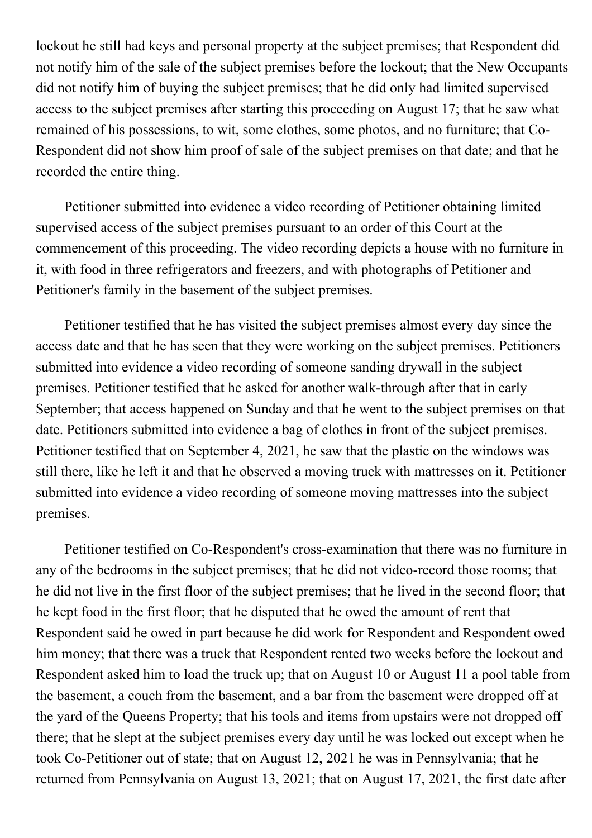lockout he still had keys and personal property at the subject premises; that Respondent did not notify him of the sale of the subject premises before the lockout; that the New Occupants did not notify him of buying the subject premises; that he did only had limited supervised access to the subject premises after starting this proceeding on August 17; that he saw what remained of his possessions, to wit, some clothes, some photos, and no furniture; that Co-Respondent did not show him proof of sale of the subject premises on that date; and that he recorded the entire thing.

Petitioner submitted into evidence a video recording of Petitioner obtaining limited supervised access of the subject premises pursuant to an order of this Court at the commencement of this proceeding. The video recording depicts a house with no furniture in it, with food in three refrigerators and freezers, and with photographs of Petitioner and Petitioner's family in the basement of the subject premises.

Petitioner testified that he has visited the subject premises almost every day since the access date and that he has seen that they were working on the subject premises. Petitioners submitted into evidence a video recording of someone sanding drywall in the subject premises. Petitioner testified that he asked for another walk-through after that in early September; that access happened on Sunday and that he went to the subject premises on that date. Petitioners submitted into evidence a bag of clothes in front of the subject premises. Petitioner testified that on September 4, 2021, he saw that the plastic on the windows was still there, like he left it and that he observed a moving truck with mattresses on it. Petitioner submitted into evidence a video recording of someone moving mattresses into the subject premises.

Petitioner testified on Co-Respondent's cross-examination that there was no furniture in any of the bedrooms in the subject premises; that he did not video-record those rooms; that he did not live in the first floor of the subject premises; that he lived in the second floor; that he kept food in the first floor; that he disputed that he owed the amount of rent that Respondent said he owed in part because he did work for Respondent and Respondent owed him money; that there was a truck that Respondent rented two weeks before the lockout and Respondent asked him to load the truck up; that on August 10 or August 11 a pool table from the basement, a couch from the basement, and a bar from the basement were dropped off at the yard of the Queens Property; that his tools and items from upstairs were not dropped off there; that he slept at the subject premises every day until he was locked out except when he took Co-Petitioner out of state; that on August 12, 2021 he was in Pennsylvania; that he returned from Pennsylvania on August 13, 2021; that on August 17, 2021, the first date after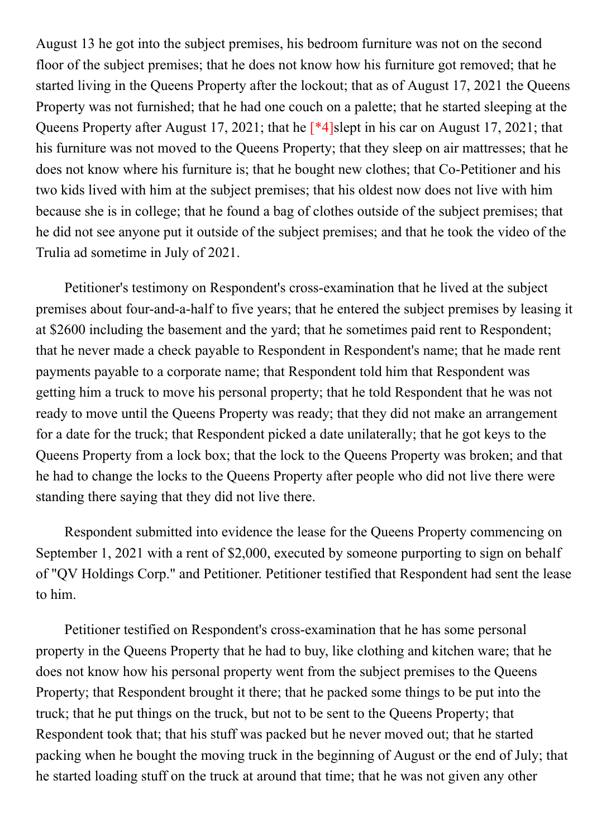August 13 he got into the subject premises, his bedroom furniture was not on the second floor of the subject premises; that he does not know how his furniture got removed; that he started living in the Queens Property after the lockout; that as of August 17, 2021 the Queens Property was not furnished; that he had one couch on a palette; that he started sleeping at the Queens Property after August 17, 2021; that he [\*4]slept in his car on August 17, 2021; that his furniture was not moved to the Queens Property; that they sleep on air mattresses; that he does not know where his furniture is; that he bought new clothes; that Co-Petitioner and his two kids lived with him at the subject premises; that his oldest now does not live with him because she is in college; that he found a bag of clothes outside of the subject premises; that he did not see anyone put it outside of the subject premises; and that he took the video of the Trulia ad sometime in July of 2021.

Petitioner's testimony on Respondent's cross-examination that he lived at the subject premises about four-and-a-half to five years; that he entered the subject premises by leasing it at \$2600 including the basement and the yard; that he sometimes paid rent to Respondent; that he never made a check payable to Respondent in Respondent's name; that he made rent payments payable to a corporate name; that Respondent told him that Respondent was getting him a truck to move his personal property; that he told Respondent that he was not ready to move until the Queens Property was ready; that they did not make an arrangement for a date for the truck; that Respondent picked a date unilaterally; that he got keys to the Queens Property from a lock box; that the lock to the Queens Property was broken; and that he had to change the locks to the Queens Property after people who did not live there were standing there saying that they did not live there.

Respondent submitted into evidence the lease for the Queens Property commencing on September 1, 2021 with a rent of \$2,000, executed by someone purporting to sign on behalf of "QV Holdings Corp." and Petitioner. Petitioner testified that Respondent had sent the lease to him.

Petitioner testified on Respondent's cross-examination that he has some personal property in the Queens Property that he had to buy, like clothing and kitchen ware; that he does not know how his personal property went from the subject premises to the Queens Property; that Respondent brought it there; that he packed some things to be put into the truck; that he put things on the truck, but not to be sent to the Queens Property; that Respondent took that; that his stuff was packed but he never moved out; that he started packing when he bought the moving truck in the beginning of August or the end of July; that he started loading stuff on the truck at around that time; that he was not given any other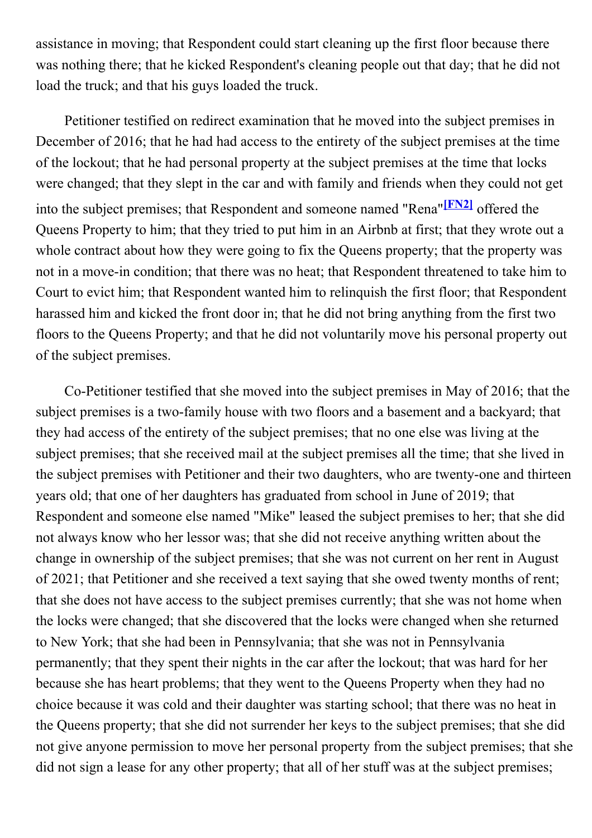assistance in moving; that Respondent could start cleaning up the first floor because there was nothing there; that he kicked Respondent's cleaning people out that day; that he did not load the truck; and that his guys loaded the truck.

Petitioner testified on redirect examination that he moved into the subject premises in December of 2016; that he had had access to the entirety of the subject premises at the time of the lockout; that he had personal property at the subject premises at the time that locks were changed; that they slept in the car and with family and friends when they could not get into the subject premises; that Respondent and someone named "Rena"<sup>[FN2]</sup> offered the Queens Property to him; that they tried to put him in an Airbnb at first; that they wrote out a whole contract about how they were going to fix the Queens property; that the property was not in a move-in condition; that there was no heat; that Respondent threatened to take him to Court to evict him; that Respondent wanted him to relinquish the first floor; that Respondent harassed him and kicked the front door in; that he did not bring anything from the first two floors to the Queens Property; and that he did not voluntarily move his personal property out of the subject premises.

Co-Petitioner testified that she moved into the subject premises in May of 2016; that the subject premises is a two-family house with two floors and a basement and a backyard; that they had access of the entirety of the subject premises; that no one else was living at the subject premises; that she received mail at the subject premises all the time; that she lived in the subject premises with Petitioner and their two daughters, who are twenty-one and thirteen years old; that one of her daughters has graduated from school in June of 2019; that Respondent and someone else named "Mike" leased the subject premises to her; that she did not always know who her lessor was; that she did not receive anything written about the change in ownership of the subject premises; that she was not current on her rent in August of 2021; that Petitioner and she received a text saying that she owed twenty months of rent; that she does not have access to the subject premises currently; that she was not home when the locks were changed; that she discovered that the locks were changed when she returned to New York; that she had been in Pennsylvania; that she was not in Pennsylvania permanently; that they spent their nights in the car after the lockout; that was hard for her because she has heart problems; that they went to the Queens Property when they had no choice because it was cold and their daughter was starting school; that there was no heat in the Queens property; that she did not surrender her keys to the subject premises; that she did not give anyone permission to move her personal property from the subject premises; that she did not sign a lease for any other property; that all of her stuff was at the subject premises;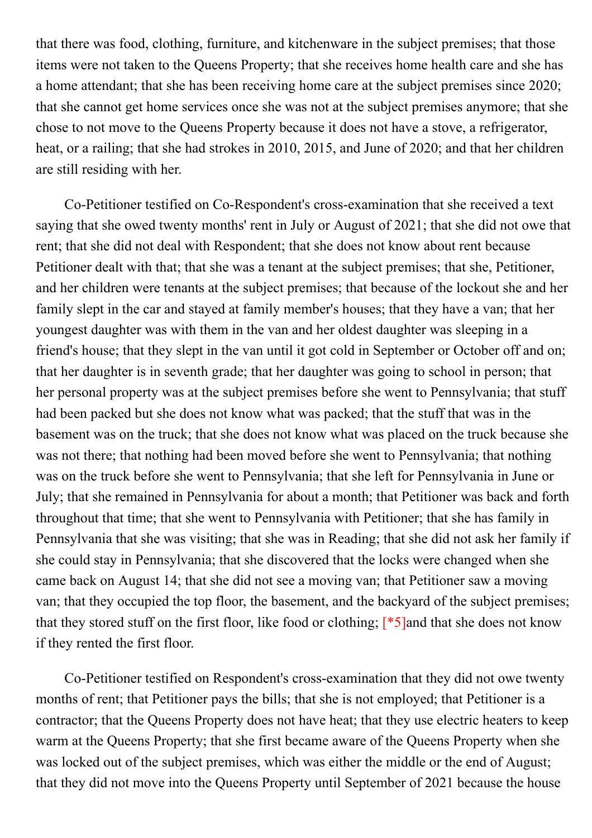that there was food, clothing, furniture, and kitchenware in the subject premises; that those items were not taken to the Queens Property; that she receives home health care and she has a home attendant; that she has been receiving home care at the subject premises since 2020; that she cannot get home services once she was not at the subject premises anymore; that she chose to not move to the Queens Property because it does not have a stove, a refrigerator, heat, or a railing; that she had strokes in 2010, 2015, and June of 2020; and that her children are still residing with her.

Co-Petitioner testified on Co-Respondent's cross-examination that she received a text saying that she owed twenty months' rent in July or August of 2021; that she did not owe that rent; that she did not deal with Respondent; that she does not know about rent because Petitioner dealt with that; that she was a tenant at the subject premises; that she, Petitioner, and her children were tenants at the subject premises; that because of the lockout she and her family slept in the car and stayed at family member's houses; that they have a van; that her youngest daughter was with them in the van and her oldest daughter was sleeping in a friend's house; that they slept in the van until it got cold in September or October off and on; that her daughter is in seventh grade; that her daughter was going to school in person; that her personal property was at the subject premises before she went to Pennsylvania; that stuff had been packed but she does not know what was packed; that the stuff that was in the basement was on the truck; that she does not know what was placed on the truck because she was not there; that nothing had been moved before she went to Pennsylvania; that nothing was on the truck before she went to Pennsylvania; that she left for Pennsylvania in June or July; that she remained in Pennsylvania for about a month; that Petitioner was back and forth throughout that time; that she went to Pennsylvania with Petitioner; that she has family in Pennsylvania that she was visiting; that she was in Reading; that she did not ask her family if she could stay in Pennsylvania; that she discovered that the locks were changed when she came back on August 14; that she did not see a moving van; that Petitioner saw a moving van; that they occupied the top floor, the basement, and the backyard of the subject premises; that they stored stuff on the first floor, like food or clothing; [\*5]and that she does not know if they rented the first floor.

Co-Petitioner testified on Respondent's cross-examination that they did not owe twenty months of rent; that Petitioner pays the bills; that she is not employed; that Petitioner is a contractor; that the Queens Property does not have heat; that they use electric heaters to keep warm at the Queens Property; that she first became aware of the Queens Property when she was locked out of the subject premises, which was either the middle or the end of August; that they did not move into the Queens Property until September of 2021 because the house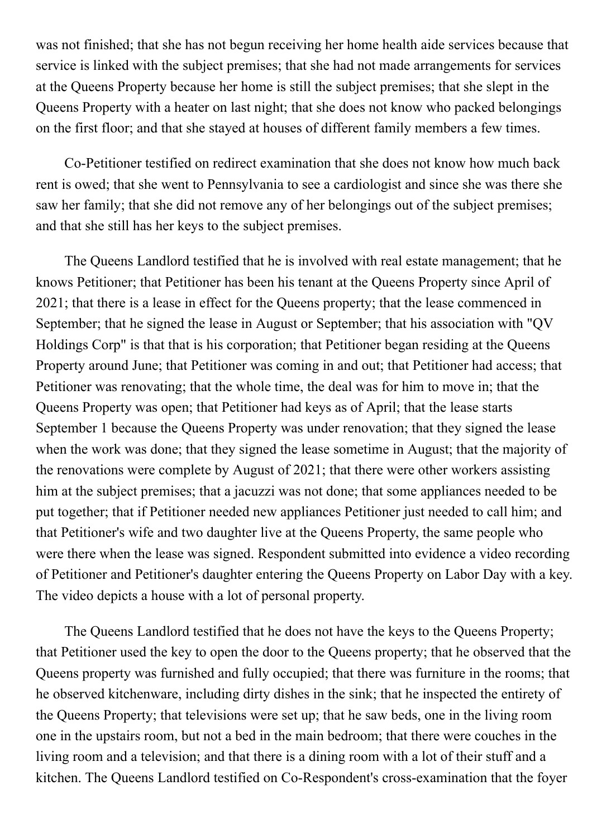was not finished; that she has not begun receiving her home health aide services because that service is linked with the subject premises; that she had not made arrangements for services at the Queens Property because her home is still the subject premises; that she slept in the Queens Property with a heater on last night; that she does not know who packed belongings on the first floor; and that she stayed at houses of different family members a few times.

Co-Petitioner testified on redirect examination that she does not know how much back rent is owed; that she went to Pennsylvania to see a cardiologist and since she was there she saw her family; that she did not remove any of her belongings out of the subject premises; and that she still has her keys to the subject premises.

The Queens Landlord testified that he is involved with real estate management; that he knows Petitioner; that Petitioner has been his tenant at the Queens Property since April of 2021; that there is a lease in effect for the Queens property; that the lease commenced in September; that he signed the lease in August or September; that his association with "QV Holdings Corp" is that that is his corporation; that Petitioner began residing at the Queens Property around June; that Petitioner was coming in and out; that Petitioner had access; that Petitioner was renovating; that the whole time, the deal was for him to move in; that the Queens Property was open; that Petitioner had keys as of April; that the lease starts September 1 because the Queens Property was under renovation; that they signed the lease when the work was done; that they signed the lease sometime in August; that the majority of the renovations were complete by August of 2021; that there were other workers assisting him at the subject premises; that a jacuzzi was not done; that some appliances needed to be put together; that if Petitioner needed new appliances Petitioner just needed to call him; and that Petitioner's wife and two daughter live at the Queens Property, the same people who were there when the lease was signed. Respondent submitted into evidence a video recording of Petitioner and Petitioner's daughter entering the Queens Property on Labor Day with a key. The video depicts a house with a lot of personal property.

The Queens Landlord testified that he does not have the keys to the Queens Property; that Petitioner used the key to open the door to the Queens property; that he observed that the Queens property was furnished and fully occupied; that there was furniture in the rooms; that he observed kitchenware, including dirty dishes in the sink; that he inspected the entirety of the Queens Property; that televisions were set up; that he saw beds, one in the living room one in the upstairs room, but not a bed in the main bedroom; that there were couches in the living room and a television; and that there is a dining room with a lot of their stuff and a kitchen. The Queens Landlord testified on Co-Respondent's cross-examination that the foyer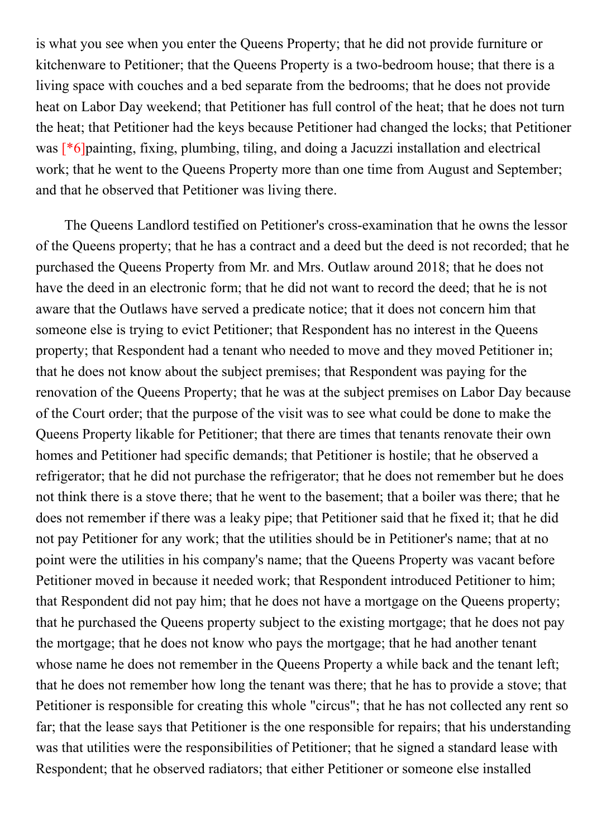is what you see when you enter the Queens Property; that he did not provide furniture or kitchenware to Petitioner; that the Queens Property is a two-bedroom house; that there is a living space with couches and a bed separate from the bedrooms; that he does not provide heat on Labor Day weekend; that Petitioner has full control of the heat; that he does not turn the heat; that Petitioner had the keys because Petitioner had changed the locks; that Petitioner was [\*6]painting, fixing, plumbing, tiling, and doing a Jacuzzi installation and electrical work; that he went to the Queens Property more than one time from August and September; and that he observed that Petitioner was living there.

The Queens Landlord testified on Petitioner's cross-examination that he owns the lessor of the Queens property; that he has a contract and a deed but the deed is not recorded; that he purchased the Queens Property from Mr. and Mrs. Outlaw around 2018; that he does not have the deed in an electronic form; that he did not want to record the deed; that he is not aware that the Outlaws have served a predicate notice; that it does not concern him that someone else is trying to evict Petitioner; that Respondent has no interest in the Queens property; that Respondent had a tenant who needed to move and they moved Petitioner in; that he does not know about the subject premises; that Respondent was paying for the renovation of the Queens Property; that he was at the subject premises on Labor Day because of the Court order; that the purpose of the visit was to see what could be done to make the Queens Property likable for Petitioner; that there are times that tenants renovate their own homes and Petitioner had specific demands; that Petitioner is hostile; that he observed a refrigerator; that he did not purchase the refrigerator; that he does not remember but he does not think there is a stove there; that he went to the basement; that a boiler was there; that he does not remember if there was a leaky pipe; that Petitioner said that he fixed it; that he did not pay Petitioner for any work; that the utilities should be in Petitioner's name; that at no point were the utilities in his company's name; that the Queens Property was vacant before Petitioner moved in because it needed work; that Respondent introduced Petitioner to him; that Respondent did not pay him; that he does not have a mortgage on the Queens property; that he purchased the Queens property subject to the existing mortgage; that he does not pay the mortgage; that he does not know who pays the mortgage; that he had another tenant whose name he does not remember in the Queens Property a while back and the tenant left; that he does not remember how long the tenant was there; that he has to provide a stove; that Petitioner is responsible for creating this whole "circus"; that he has not collected any rent so far; that the lease says that Petitioner is the one responsible for repairs; that his understanding was that utilities were the responsibilities of Petitioner; that he signed a standard lease with Respondent; that he observed radiators; that either Petitioner or someone else installed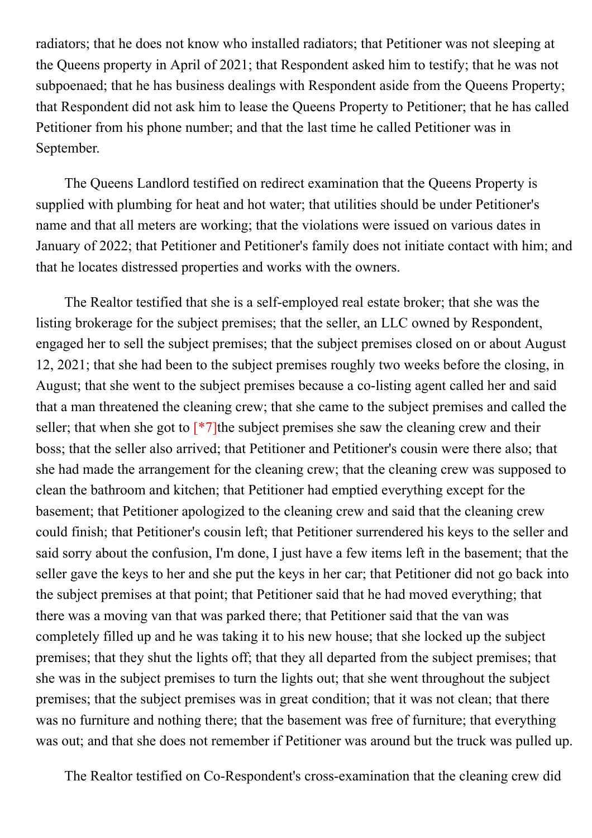radiators; that he does not know who installed radiators; that Petitioner was not sleeping at the Queens property in April of 2021; that Respondent asked him to testify; that he was not subpoenaed; that he has business dealings with Respondent aside from the Queens Property; that Respondent did not ask him to lease the Queens Property to Petitioner; that he has called Petitioner from his phone number; and that the last time he called Petitioner was in September.

The Queens Landlord testified on redirect examination that the Queens Property is supplied with plumbing for heat and hot water; that utilities should be under Petitioner's name and that all meters are working; that the violations were issued on various dates in January of 2022; that Petitioner and Petitioner's family does not initiate contact with him; and that he locates distressed properties and works with the owners.

The Realtor testified that she is a self-employed real estate broker; that she was the listing brokerage for the subject premises; that the seller, an LLC owned by Respondent, engaged her to sell the subject premises; that the subject premises closed on or about August 12, 2021; that she had been to the subject premises roughly two weeks before the closing, in August; that she went to the subject premises because a co-listing agent called her and said that a man threatened the cleaning crew; that she came to the subject premises and called the seller; that when she got to  $\lceil *7 \rceil$  the subject premises she saw the cleaning crew and their boss; that the seller also arrived; that Petitioner and Petitioner's cousin were there also; that she had made the arrangement for the cleaning crew; that the cleaning crew was supposed to clean the bathroom and kitchen; that Petitioner had emptied everything except for the basement; that Petitioner apologized to the cleaning crew and said that the cleaning crew could finish; that Petitioner's cousin left; that Petitioner surrendered his keys to the seller and said sorry about the confusion, I'm done, I just have a few items left in the basement; that the seller gave the keys to her and she put the keys in her car; that Petitioner did not go back into the subject premises at that point; that Petitioner said that he had moved everything; that there was a moving van that was parked there; that Petitioner said that the van was completely filled up and he was taking it to his new house; that she locked up the subject premises; that they shut the lights off; that they all departed from the subject premises; that she was in the subject premises to turn the lights out; that she went throughout the subject premises; that the subject premises was in great condition; that it was not clean; that there was no furniture and nothing there; that the basement was free of furniture; that everything was out; and that she does not remember if Petitioner was around but the truck was pulled up.

The Realtor testified on Co-Respondent's cross-examination that the cleaning crew did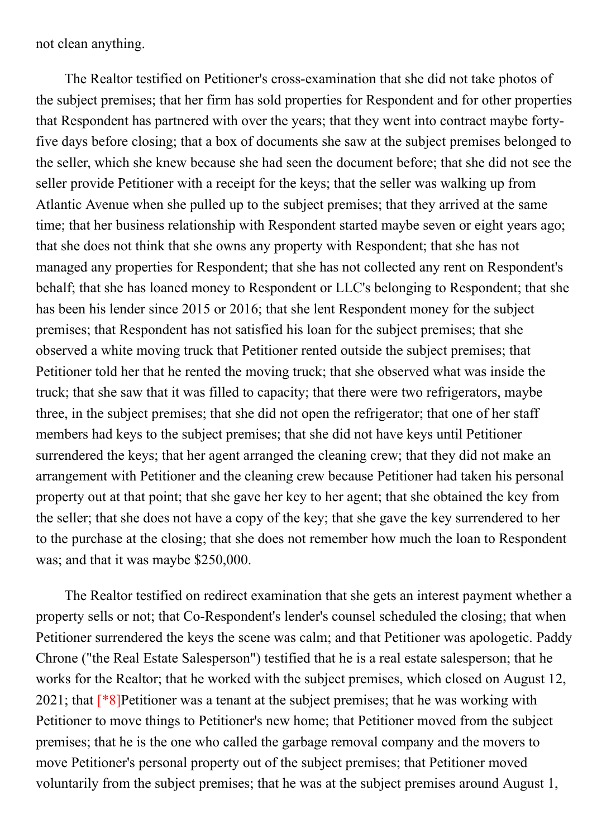not clean anything.

The Realtor testified on Petitioner's cross-examination that she did not take photos of the subject premises; that her firm has sold properties for Respondent and for other properties that Respondent has partnered with over the years; that they went into contract maybe fortyfive days before closing; that a box of documents she saw at the subject premises belonged to the seller, which she knew because she had seen the document before; that she did not see the seller provide Petitioner with a receipt for the keys; that the seller was walking up from Atlantic Avenue when she pulled up to the subject premises; that they arrived at the same time; that her business relationship with Respondent started maybe seven or eight years ago; that she does not think that she owns any property with Respondent; that she has not managed any properties for Respondent; that she has not collected any rent on Respondent's behalf; that she has loaned money to Respondent or LLC's belonging to Respondent; that she has been his lender since 2015 or 2016; that she lent Respondent money for the subject premises; that Respondent has not satisfied his loan for the subject premises; that she observed a white moving truck that Petitioner rented outside the subject premises; that Petitioner told her that he rented the moving truck; that she observed what was inside the truck; that she saw that it was filled to capacity; that there were two refrigerators, maybe three, in the subject premises; that she did not open the refrigerator; that one of her staff members had keys to the subject premises; that she did not have keys until Petitioner surrendered the keys; that her agent arranged the cleaning crew; that they did not make an arrangement with Petitioner and the cleaning crew because Petitioner had taken his personal property out at that point; that she gave her key to her agent; that she obtained the key from the seller; that she does not have a copy of the key; that she gave the key surrendered to her to the purchase at the closing; that she does not remember how much the loan to Respondent was; and that it was maybe \$250,000.

The Realtor testified on redirect examination that she gets an interest payment whether a property sells or not; that Co-Respondent's lender's counsel scheduled the closing; that when Petitioner surrendered the keys the scene was calm; and that Petitioner was apologetic. Paddy Chrone ("the Real Estate Salesperson") testified that he is a real estate salesperson; that he works for the Realtor; that he worked with the subject premises, which closed on August 12, 2021; that  $[{}^*8]$ Petitioner was a tenant at the subject premises; that he was working with Petitioner to move things to Petitioner's new home; that Petitioner moved from the subject premises; that he is the one who called the garbage removal company and the movers to move Petitioner's personal property out of the subject premises; that Petitioner moved voluntarily from the subject premises; that he was at the subject premises around August 1,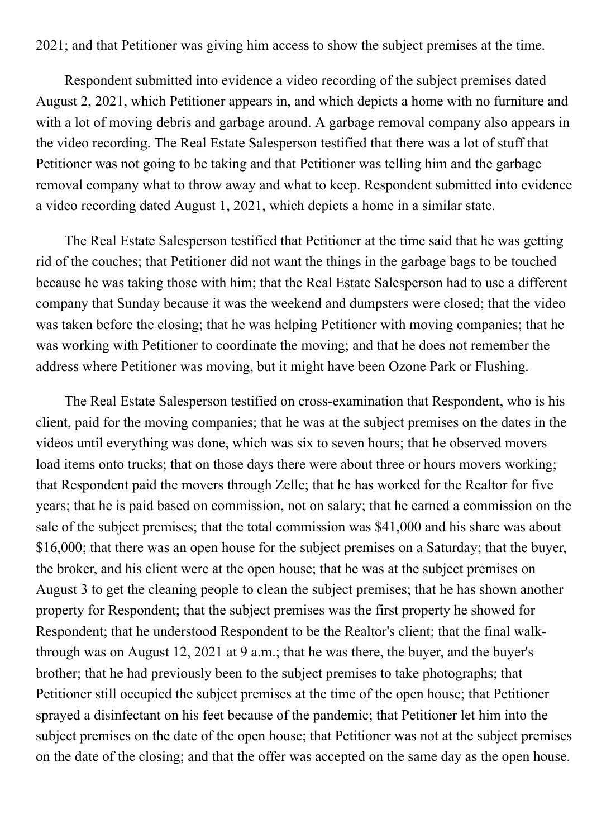2021; and that Petitioner was giving him access to show the subject premises at the time.

Respondent submitted into evidence a video recording of the subject premises dated August 2, 2021, which Petitioner appears in, and which depicts a home with no furniture and with a lot of moving debris and garbage around. A garbage removal company also appears in the video recording. The Real Estate Salesperson testified that there was a lot of stuff that Petitioner was not going to be taking and that Petitioner was telling him and the garbage removal company what to throw away and what to keep. Respondent submitted into evidence a video recording dated August 1, 2021, which depicts a home in a similar state.

The Real Estate Salesperson testified that Petitioner at the time said that he was getting rid of the couches; that Petitioner did not want the things in the garbage bags to be touched because he was taking those with him; that the Real Estate Salesperson had to use a different company that Sunday because it was the weekend and dumpsters were closed; that the video was taken before the closing; that he was helping Petitioner with moving companies; that he was working with Petitioner to coordinate the moving; and that he does not remember the address where Petitioner was moving, but it might have been Ozone Park or Flushing.

The Real Estate Salesperson testified on cross-examination that Respondent, who is his client, paid for the moving companies; that he was at the subject premises on the dates in the videos until everything was done, which was six to seven hours; that he observed movers load items onto trucks; that on those days there were about three or hours movers working; that Respondent paid the movers through Zelle; that he has worked for the Realtor for five years; that he is paid based on commission, not on salary; that he earned a commission on the sale of the subject premises; that the total commission was \$41,000 and his share was about \$16,000; that there was an open house for the subject premises on a Saturday; that the buyer, the broker, and his client were at the open house; that he was at the subject premises on August 3 to get the cleaning people to clean the subject premises; that he has shown another property for Respondent; that the subject premises was the first property he showed for Respondent; that he understood Respondent to be the Realtor's client; that the final walkthrough was on August 12, 2021 at 9 a.m.; that he was there, the buyer, and the buyer's brother; that he had previously been to the subject premises to take photographs; that Petitioner still occupied the subject premises at the time of the open house; that Petitioner sprayed a disinfectant on his feet because of the pandemic; that Petitioner let him into the subject premises on the date of the open house; that Petitioner was not at the subject premises on the date of the closing; and that the offer was accepted on the same day as the open house.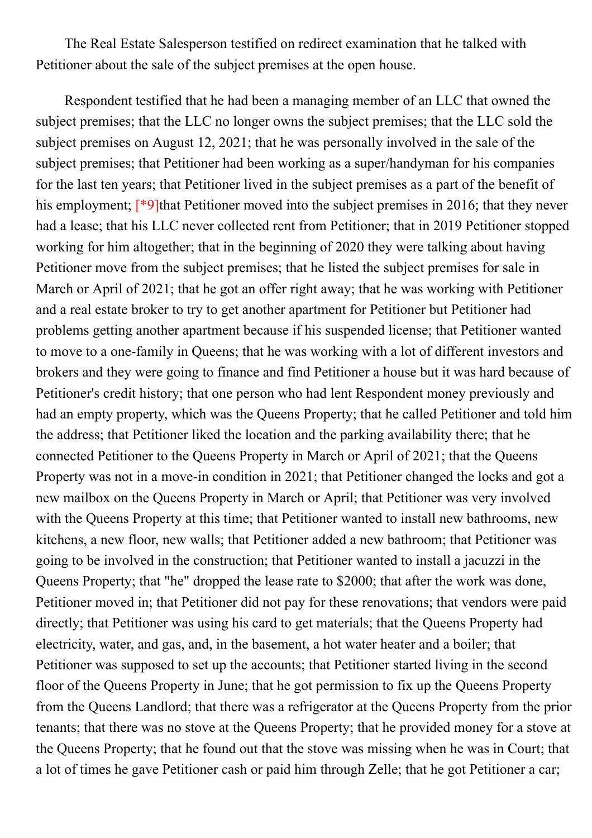The Real Estate Salesperson testified on redirect examination that he talked with Petitioner about the sale of the subject premises at the open house.

Respondent testified that he had been a managing member of an LLC that owned the subject premises; that the LLC no longer owns the subject premises; that the LLC sold the subject premises on August 12, 2021; that he was personally involved in the sale of the subject premises; that Petitioner had been working as a super/handyman for his companies for the last ten years; that Petitioner lived in the subject premises as a part of the benefit of his employment; [\*9]that Petitioner moved into the subject premises in 2016; that they never had a lease; that his LLC never collected rent from Petitioner; that in 2019 Petitioner stopped working for him altogether; that in the beginning of 2020 they were talking about having Petitioner move from the subject premises; that he listed the subject premises for sale in March or April of 2021; that he got an offer right away; that he was working with Petitioner and a real estate broker to try to get another apartment for Petitioner but Petitioner had problems getting another apartment because if his suspended license; that Petitioner wanted to move to a one-family in Queens; that he was working with a lot of different investors and brokers and they were going to finance and find Petitioner a house but it was hard because of Petitioner's credit history; that one person who had lent Respondent money previously and had an empty property, which was the Queens Property; that he called Petitioner and told him the address; that Petitioner liked the location and the parking availability there; that he connected Petitioner to the Queens Property in March or April of 2021; that the Queens Property was not in a move-in condition in 2021; that Petitioner changed the locks and got a new mailbox on the Queens Property in March or April; that Petitioner was very involved with the Queens Property at this time; that Petitioner wanted to install new bathrooms, new kitchens, a new floor, new walls; that Petitioner added a new bathroom; that Petitioner was going to be involved in the construction; that Petitioner wanted to install a jacuzzi in the Queens Property; that "he" dropped the lease rate to \$2000; that after the work was done, Petitioner moved in; that Petitioner did not pay for these renovations; that vendors were paid directly; that Petitioner was using his card to get materials; that the Queens Property had electricity, water, and gas, and, in the basement, a hot water heater and a boiler; that Petitioner was supposed to set up the accounts; that Petitioner started living in the second floor of the Queens Property in June; that he got permission to fix up the Queens Property from the Queens Landlord; that there was a refrigerator at the Queens Property from the prior tenants; that there was no stove at the Queens Property; that he provided money for a stove at the Queens Property; that he found out that the stove was missing when he was in Court; that a lot of times he gave Petitioner cash or paid him through Zelle; that he got Petitioner a car;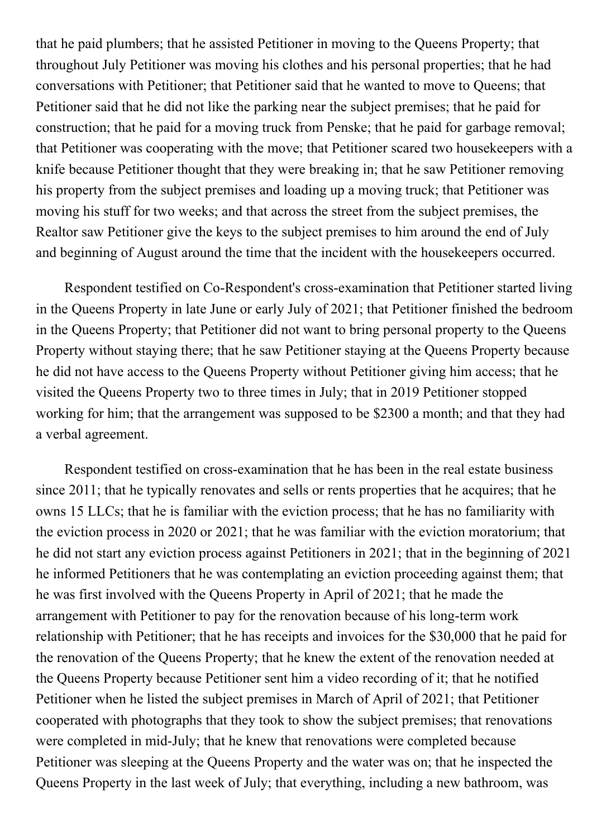that he paid plumbers; that he assisted Petitioner in moving to the Queens Property; that throughout July Petitioner was moving his clothes and his personal properties; that he had conversations with Petitioner; that Petitioner said that he wanted to move to Queens; that Petitioner said that he did not like the parking near the subject premises; that he paid for construction; that he paid for a moving truck from Penske; that he paid for garbage removal; that Petitioner was cooperating with the move; that Petitioner scared two housekeepers with a knife because Petitioner thought that they were breaking in; that he saw Petitioner removing his property from the subject premises and loading up a moving truck; that Petitioner was moving his stuff for two weeks; and that across the street from the subject premises, the Realtor saw Petitioner give the keys to the subject premises to him around the end of July and beginning of August around the time that the incident with the housekeepers occurred.

Respondent testified on Co-Respondent's cross-examination that Petitioner started living in the Queens Property in late June or early July of 2021; that Petitioner finished the bedroom in the Queens Property; that Petitioner did not want to bring personal property to the Queens Property without staying there; that he saw Petitioner staying at the Queens Property because he did not have access to the Queens Property without Petitioner giving him access; that he visited the Queens Property two to three times in July; that in 2019 Petitioner stopped working for him; that the arrangement was supposed to be \$2300 a month; and that they had a verbal agreement.

Respondent testified on cross-examination that he has been in the real estate business since 2011; that he typically renovates and sells or rents properties that he acquires; that he owns 15 LLCs; that he is familiar with the eviction process; that he has no familiarity with the eviction process in 2020 or 2021; that he was familiar with the eviction moratorium; that he did not start any eviction process against Petitioners in 2021; that in the beginning of 2021 he informed Petitioners that he was contemplating an eviction proceeding against them; that he was first involved with the Queens Property in April of 2021; that he made the arrangement with Petitioner to pay for the renovation because of his long-term work relationship with Petitioner; that he has receipts and invoices for the \$30,000 that he paid for the renovation of the Queens Property; that he knew the extent of the renovation needed at the Queens Property because Petitioner sent him a video recording of it; that he notified Petitioner when he listed the subject premises in March of April of 2021; that Petitioner cooperated with photographs that they took to show the subject premises; that renovations were completed in mid-July; that he knew that renovations were completed because Petitioner was sleeping at the Queens Property and the water was on; that he inspected the Queens Property in the last week of July; that everything, including a new bathroom, was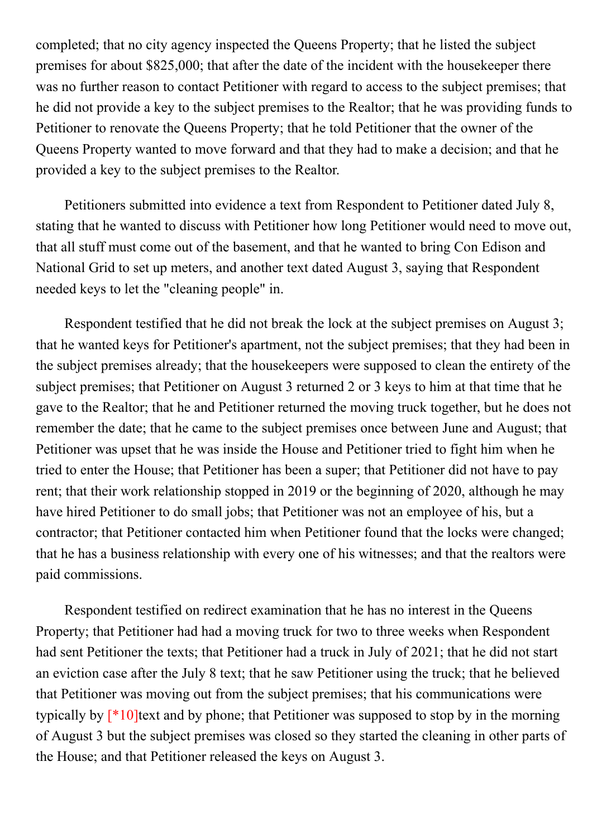completed; that no city agency inspected the Queens Property; that he listed the subject premises for about \$825,000; that after the date of the incident with the housekeeper there was no further reason to contact Petitioner with regard to access to the subject premises; that he did not provide a key to the subject premises to the Realtor; that he was providing funds to Petitioner to renovate the Queens Property; that he told Petitioner that the owner of the Queens Property wanted to move forward and that they had to make a decision; and that he provided a key to the subject premises to the Realtor.

Petitioners submitted into evidence a text from Respondent to Petitioner dated July 8, stating that he wanted to discuss with Petitioner how long Petitioner would need to move out, that all stuff must come out of the basement, and that he wanted to bring Con Edison and National Grid to set up meters, and another text dated August 3, saying that Respondent needed keys to let the "cleaning people" in.

Respondent testified that he did not break the lock at the subject premises on August 3; that he wanted keys for Petitioner's apartment, not the subject premises; that they had been in the subject premises already; that the housekeepers were supposed to clean the entirety of the subject premises; that Petitioner on August 3 returned 2 or 3 keys to him at that time that he gave to the Realtor; that he and Petitioner returned the moving truck together, but he does not remember the date; that he came to the subject premises once between June and August; that Petitioner was upset that he was inside the House and Petitioner tried to fight him when he tried to enter the House; that Petitioner has been a super; that Petitioner did not have to pay rent; that their work relationship stopped in 2019 or the beginning of 2020, although he may have hired Petitioner to do small jobs; that Petitioner was not an employee of his, but a contractor; that Petitioner contacted him when Petitioner found that the locks were changed; that he has a business relationship with every one of his witnesses; and that the realtors were paid commissions.

Respondent testified on redirect examination that he has no interest in the Queens Property; that Petitioner had had a moving truck for two to three weeks when Respondent had sent Petitioner the texts; that Petitioner had a truck in July of 2021; that he did not start an eviction case after the July 8 text; that he saw Petitioner using the truck; that he believed that Petitioner was moving out from the subject premises; that his communications were typically by  $[*10]$ text and by phone; that Petitioner was supposed to stop by in the morning of August 3 but the subject premises was closed so they started the cleaning in other parts of the House; and that Petitioner released the keys on August 3.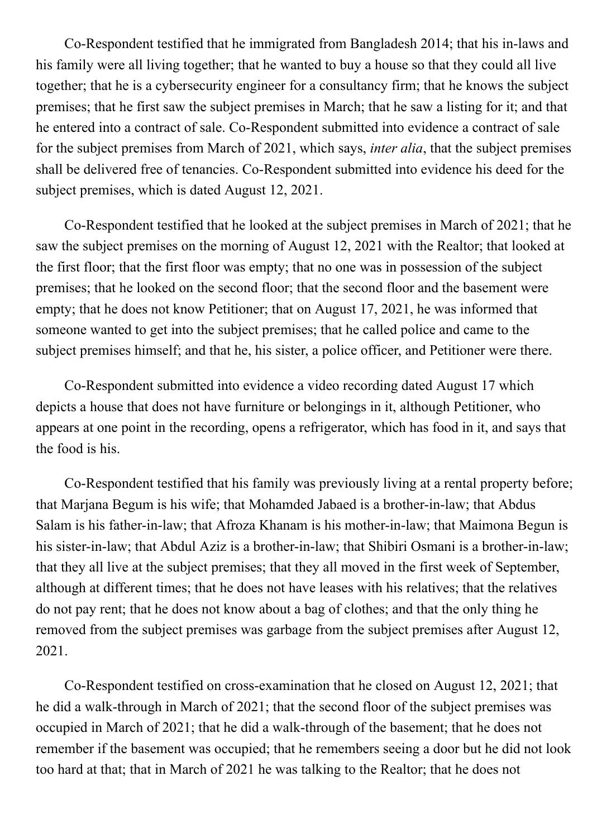Co-Respondent testified that he immigrated from Bangladesh 2014; that his in-laws and his family were all living together; that he wanted to buy a house so that they could all live together; that he is a cybersecurity engineer for a consultancy firm; that he knows the subject premises; that he first saw the subject premises in March; that he saw a listing for it; and that he entered into a contract of sale. Co-Respondent submitted into evidence a contract of sale for the subject premises from March of 2021, which says, inter alia, that the subject premises shall be delivered free of tenancies. Co-Respondent submitted into evidence his deed for the subject premises, which is dated August 12, 2021.

Co-Respondent testified that he looked at the subject premises in March of 2021; that he saw the subject premises on the morning of August 12, 2021 with the Realtor; that looked at the first floor; that the first floor was empty; that no one was in possession of the subject premises; that he looked on the second floor; that the second floor and the basement were empty; that he does not know Petitioner; that on August 17, 2021, he was informed that someone wanted to get into the subject premises; that he called police and came to the subject premises himself; and that he, his sister, a police officer, and Petitioner were there.

Co-Respondent submitted into evidence a video recording dated August 17 which depicts a house that does not have furniture or belongings in it, although Petitioner, who appears at one point in the recording, opens a refrigerator, which has food in it, and says that the food is his.

Co-Respondent testified that his family was previously living at a rental property before; that Marjana Begum is his wife; that Mohamded Jabaed is a brother-in-law; that Abdus Salam is his father-in-law; that Afroza Khanam is his mother-in-law; that Maimona Begun is his sister-in-law; that Abdul Aziz is a brother-in-law; that Shibiri Osmani is a brother-in-law; that they all live at the subject premises; that they all moved in the first week of September, although at different times; that he does not have leases with his relatives; that the relatives do not pay rent; that he does not know about a bag of clothes; and that the only thing he removed from the subject premises was garbage from the subject premises after August 12, 2021.

Co-Respondent testified on cross-examination that he closed on August 12, 2021; that he did a walk-through in March of 2021; that the second floor of the subject premises was occupied in March of 2021; that he did a walk-through of the basement; that he does not remember if the basement was occupied; that he remembers seeing a door but he did not look too hard at that; that in March of 2021 he was talking to the Realtor; that he does not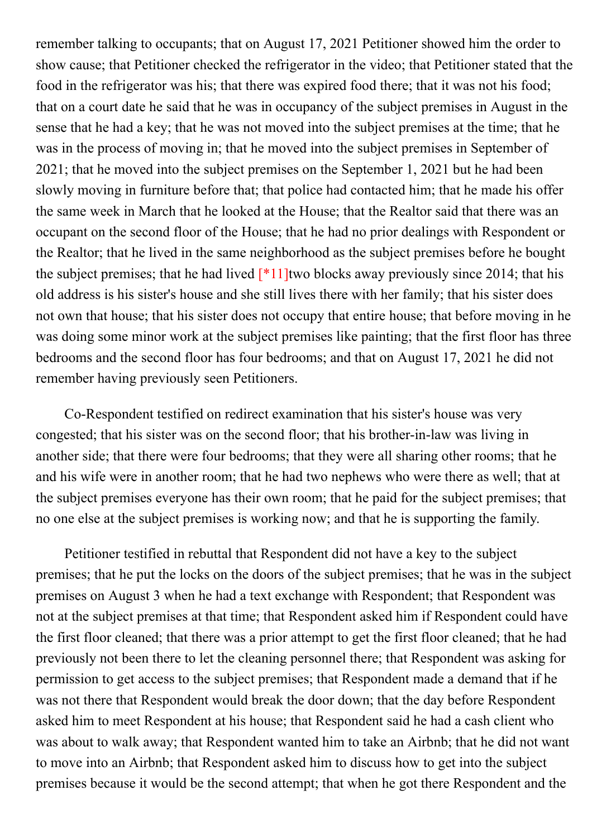remember talking to occupants; that on August 17, 2021 Petitioner showed him the order to show cause; that Petitioner checked the refrigerator in the video; that Petitioner stated that the food in the refrigerator was his; that there was expired food there; that it was not his food; that on a court date he said that he was in occupancy of the subject premises in August in the sense that he had a key; that he was not moved into the subject premises at the time; that he was in the process of moving in; that he moved into the subject premises in September of 2021; that he moved into the subject premises on the September 1, 2021 but he had been slowly moving in furniture before that; that police had contacted him; that he made his offer the same week in March that he looked at the House; that the Realtor said that there was an occupant on the second floor of the House; that he had no prior dealings with Respondent or the Realtor; that he lived in the same neighborhood as the subject premises before he bought the subject premises; that he had lived  $\lceil *11 \rceil$  two blocks away previously since 2014; that his old address is his sister's house and she still lives there with her family; that his sister does not own that house; that his sister does not occupy that entire house; that before moving in he was doing some minor work at the subject premises like painting; that the first floor has three bedrooms and the second floor has four bedrooms; and that on August 17, 2021 he did not remember having previously seen Petitioners.

Co-Respondent testified on redirect examination that his sister's house was very congested; that his sister was on the second floor; that his brother-in-law was living in another side; that there were four bedrooms; that they were all sharing other rooms; that he and his wife were in another room; that he had two nephews who were there as well; that at the subject premises everyone has their own room; that he paid for the subject premises; that no one else at the subject premises is working now; and that he is supporting the family.

Petitioner testified in rebuttal that Respondent did not have a key to the subject premises; that he put the locks on the doors of the subject premises; that he was in the subject premises on August 3 when he had a text exchange with Respondent; that Respondent was not at the subject premises at that time; that Respondent asked him if Respondent could have the first floor cleaned; that there was a prior attempt to get the first floor cleaned; that he had previously not been there to let the cleaning personnel there; that Respondent was asking for permission to get access to the subject premises; that Respondent made a demand that if he was not there that Respondent would break the door down; that the day before Respondent asked him to meet Respondent at his house; that Respondent said he had a cash client who was about to walk away; that Respondent wanted him to take an Airbnb; that he did not want to move into an Airbnb; that Respondent asked him to discuss how to get into the subject premises because it would be the second attempt; that when he got there Respondent and the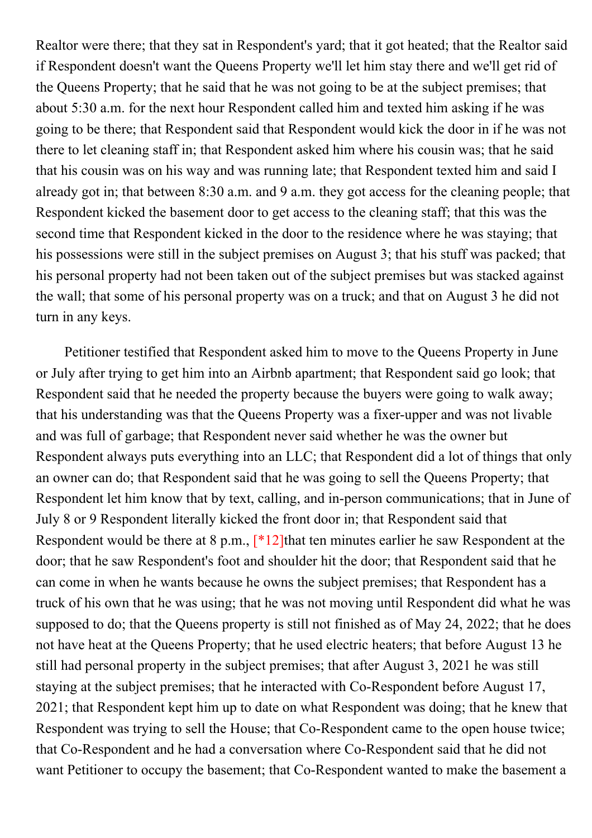Realtor were there; that they sat in Respondent's yard; that it got heated; that the Realtor said if Respondent doesn't want the Queens Property we'll let him stay there and we'll get rid of the Queens Property; that he said that he was not going to be at the subject premises; that about 5:30 a.m. for the next hour Respondent called him and texted him asking if he was going to be there; that Respondent said that Respondent would kick the door in if he was not there to let cleaning staff in; that Respondent asked him where his cousin was; that he said that his cousin was on his way and was running late; that Respondent texted him and said I already got in; that between 8:30 a.m. and 9 a.m. they got access for the cleaning people; that Respondent kicked the basement door to get access to the cleaning staff; that this was the second time that Respondent kicked in the door to the residence where he was staying; that his possessions were still in the subject premises on August 3; that his stuff was packed; that his personal property had not been taken out of the subject premises but was stacked against the wall; that some of his personal property was on a truck; and that on August 3 he did not turn in any keys.

Petitioner testified that Respondent asked him to move to the Queens Property in June or July after trying to get him into an Airbnb apartment; that Respondent said go look; that Respondent said that he needed the property because the buyers were going to walk away; that his understanding was that the Queens Property was a fixer-upper and was not livable and was full of garbage; that Respondent never said whether he was the owner but Respondent always puts everything into an LLC; that Respondent did a lot of things that only an owner can do; that Respondent said that he was going to sell the Queens Property; that Respondent let him know that by text, calling, and in-person communications; that in June of July 8 or 9 Respondent literally kicked the front door in; that Respondent said that Respondent would be there at 8 p.m., [\*12]that ten minutes earlier he saw Respondent at the door; that he saw Respondent's foot and shoulder hit the door; that Respondent said that he can come in when he wants because he owns the subject premises; that Respondent has a truck of his own that he was using; that he was not moving until Respondent did what he was supposed to do; that the Queens property is still not finished as of May 24, 2022; that he does not have heat at the Queens Property; that he used electric heaters; that before August 13 he still had personal property in the subject premises; that after August 3, 2021 he was still staying at the subject premises; that he interacted with Co-Respondent before August 17, 2021; that Respondent kept him up to date on what Respondent was doing; that he knew that Respondent was trying to sell the House; that Co-Respondent came to the open house twice; that Co-Respondent and he had a conversation where Co-Respondent said that he did not want Petitioner to occupy the basement; that Co-Respondent wanted to make the basement a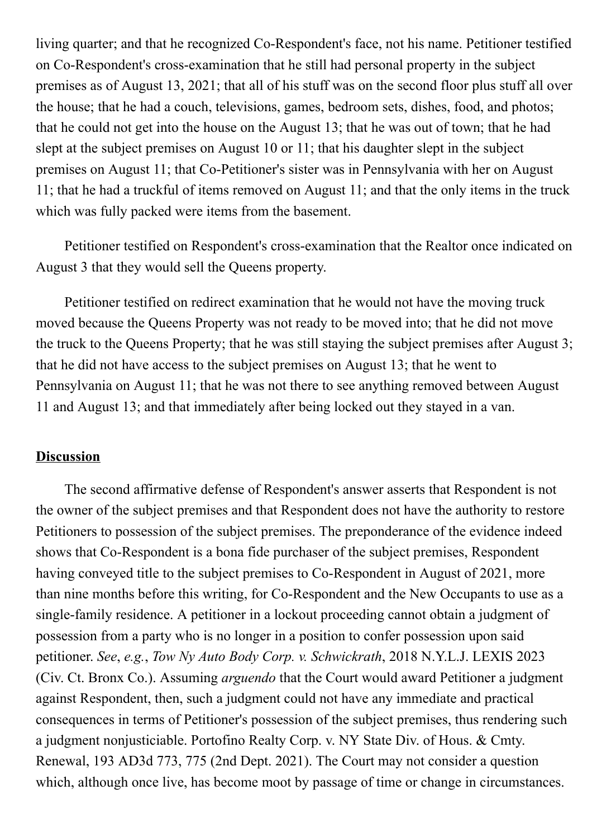living quarter; and that he recognized Co-Respondent's face, not his name. Petitioner testified on Co-Respondent's cross-examination that he still had personal property in the subject premises as of August 13, 2021; that all of his stuff was on the second floor plus stuff all over the house; that he had a couch, televisions, games, bedroom sets, dishes, food, and photos; that he could not get into the house on the August 13; that he was out of town; that he had slept at the subject premises on August 10 or 11; that his daughter slept in the subject premises on August 11; that Co-Petitioner's sister was in Pennsylvania with her on August 11; that he had a truckful of items removed on August 11; and that the only items in the truck which was fully packed were items from the basement.

Petitioner testified on Respondent's cross-examination that the Realtor once indicated on August 3 that they would sell the Queens property.

Petitioner testified on redirect examination that he would not have the moving truck moved because the Queens Property was not ready to be moved into; that he did not move the truck to the Queens Property; that he was still staying the subject premises after August 3; that he did not have access to the subject premises on August 13; that he went to Pennsylvania on August 11; that he was not there to see anything removed between August 11 and August 13; and that immediately after being locked out they stayed in a van.

#### **Discussion**

The second affirmative defense of Respondent's answer asserts that Respondent is not the owner of the subject premises and that Respondent does not have the authority to restore Petitioners to possession of the subject premises. The preponderance of the evidence indeed shows that Co-Respondent is a bona fide purchaser of the subject premises, Respondent having conveyed title to the subject premises to Co-Respondent in August of 2021, more than nine months before this writing, for Co-Respondent and the New Occupants to use as a single-family residence. A petitioner in a lockout proceeding cannot obtain a judgment of possession from a party who is no longer in a position to confer possession upon said petitioner. See, e.g., Tow Ny Auto Body Corp. v. Schwickrath, 2018 N.Y.L.J. LEXIS 2023 (Civ. Ct. Bronx Co.). Assuming arguendo that the Court would award Petitioner a judgment against Respondent, then, such a judgment could not have any immediate and practical consequences in terms of Petitioner's possession of the subject premises, thus rendering such a judgment nonjusticiable. Portofino Realty Corp. v. NY State Div. of Hous. & Cmty. Renewal, 193 AD3d 773, 775 (2nd Dept. 2021). The Court may not consider a question which, although once live, has become moot by passage of time or change in circumstances.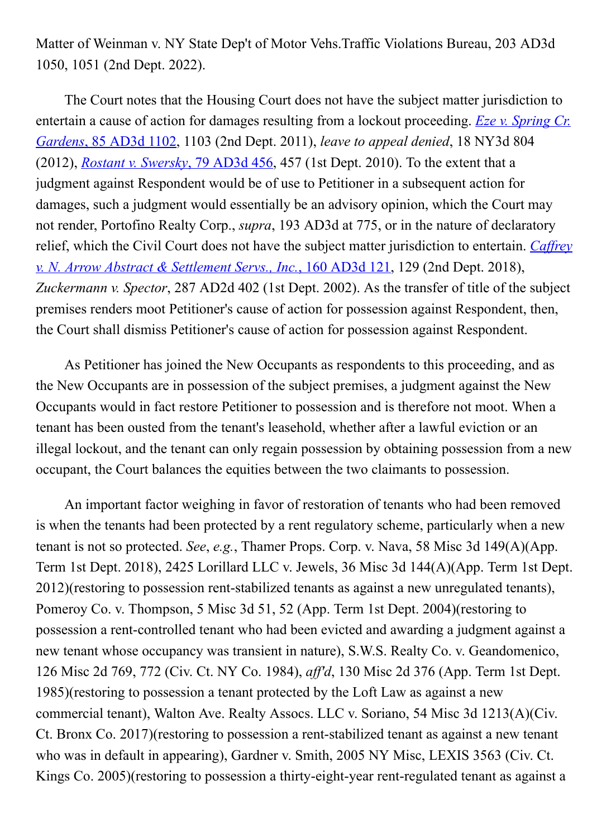Matter of Weinman v. NY State Dep't of Motor Vehs.Traffic Violations Bureau, 203 AD3d 1050, 1051 (2nd Dept. 2022).

The Court notes that the Housing Court does not have the subject matter jurisdiction to entertain a cause of action for damages resulting from a lockout proceeding. Eze v. Spring Cr. Gardens, 85 AD3d 1102, 1103 (2nd Dept. 2011), leave to appeal denied, 18 NY3d 804 (2012), Rostant v. Swersky, 79 AD3d  $456$ , 457 (1st Dept. 2010). To the extent that a judgment against Respondent would be of use to Petitioner in a subsequent action for damages, such a judgment would essentially be an advisory opinion, which the Court may not render, Portofino Realty Corp., supra, 193 AD3d at 775, or in the nature of declaratory relief, which the Civil Court does not have the subject matter jurisdiction to entertain. Caffrey v. N. Arrow Abstract & Settlement Servs., Inc., 160 AD3d 121, 129 (2nd Dept. 2018), Zuckermann v. Spector, 287 AD2d 402 (1st Dept. 2002). As the transfer of title of the subject premises renders moot Petitioner's cause of action for possession against Respondent, then, the Court shall dismiss Petitioner's cause of action for possession against Respondent.

As Petitioner has joined the New Occupants as respondents to this proceeding, and as the New Occupants are in possession of the subject premises, a judgment against the New Occupants would in fact restore Petitioner to possession and is therefore not moot. When a tenant has been ousted from the tenant's leasehold, whether after a lawful eviction or an illegal lockout, and the tenant can only regain possession by obtaining possession from a new occupant, the Court balances the equities between the two claimants to possession.

An important factor weighing in favor of restoration of tenants who had been removed is when the tenants had been protected by a rent regulatory scheme, particularly when a new tenant is not so protected. See, e.g., Thamer Props. Corp. v. Nava, 58 Misc 3d 149(A)(App. Term 1st Dept. 2018), 2425 Lorillard LLC v. Jewels, 36 Misc 3d 144(A)(App. Term 1st Dept.  $2012$ )(restoring to possession rent-stabilized tenants as against a new unregulated tenants), Pomeroy Co. v. Thompson, 5 Misc 3d 51, 52 (App. Term 1st Dept. 2004)(restoring to possession a rent-controlled tenant who had been evicted and awarding a judgment against a new tenant whose occupancy was transient in nature), S.W.S. Realty Co. v. Geandomenico, 126 Misc 2d 769, 772 (Civ. Ct. NY Co. 1984), aff'd, 130 Misc 2d 376 (App. Term 1st Dept. 1985)(restoring to possession a tenant protected by the Loft Law as against a new commercial tenant), Walton Ave. Realty Assocs. LLC v. Soriano, 54 Misc 3d 1213(A)(Civ. Ct. Bronx Co. 2017)(restoring to possession a rent-stabilized tenant as against a new tenant who was in default in appearing), Gardner v. Smith, 2005 NY Misc, LEXIS 3563 (Civ. Ct. Kings Co. 2005)(restoring to possession a thirty-eight-year rent-regulated tenant as against a